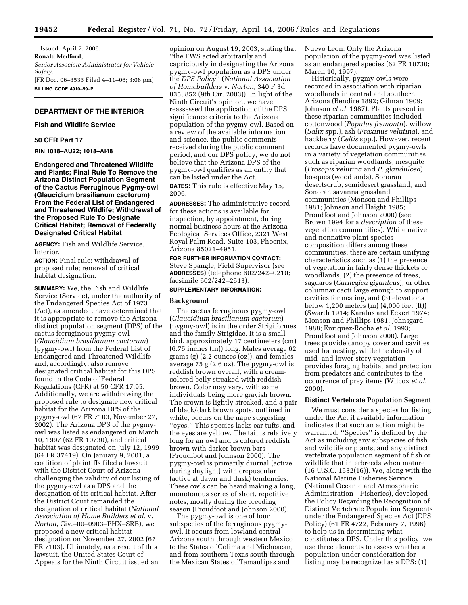Issued: April 7, 2006. **Ronald Medford,**  *Senior Associate Administrator for Vehicle Safety.*  [FR Doc. 06–3533 Filed 4–11–06; 3:08 pm] **BILLING CODE 4910–59–P** 

## **DEPARTMENT OF THE INTERIOR**

## **Fish and Wildlife Service**

#### **50 CFR Part 17**

**RIN 1018–AU22; 1018–AI48** 

**Endangered and Threatened Wildlife and Plants; Final Rule To Remove the Arizona Distinct Population Segment of the Cactus Ferruginous Pygmy-owl (Glaucidium brasilianum cactorum) From the Federal List of Endangered and Threatened Wildlife; Withdrawal of the Proposed Rule To Designate Critical Habitat; Removal of Federally Designated Critical Habitat** 

**AGENCY:** Fish and Wildlife Service, Interior.

**ACTION:** Final rule; withdrawal of proposed rule; removal of critical habitat designation.

**SUMMARY:** We, the Fish and Wildlife Service (Service), under the authority of the Endangered Species Act of 1973 (Act), as amended, have determined that it is appropriate to remove the Arizona distinct population segment (DPS) of the cactus ferruginous pygmy-owl (*Glaucidium brasilianum cactorum*) (pygmy-owl) from the Federal List of Endangered and Threatened Wildlife and, accordingly, also remove designated critical habitat for this DPS found in the Code of Federal Regulations (CFR) at 50 CFR 17.95. Additionally, we are withdrawing the proposed rule to designate new critical habitat for the Arizona DPS of the pygmy-owl (67 FR 7103, November 27, 2002). The Arizona DPS of the pygmyowl was listed as endangered on March 10, 1997 (62 FR 10730), and critical habitat was designated on July 12, 1999 (64 FR 37419). On January 9, 2001, a coalition of plaintiffs filed a lawsuit with the District Court of Arizona challenging the validity of our listing of the pygmy-owl as a DPS and the designation of its critical habitat. After the District Court remanded the designation of critical habitat (*National Association of Home Builders et al.* v. *Norton*, Civ.–00–0903–PHX–SRB), we proposed a new critical habitat designation on November 27, 2002 (67 FR 7103). Ultimately, as a result of this lawsuit, the United States Court of Appeals for the Ninth Circuit issued an

opinion on August 19, 2003, stating that ''the FWS acted arbitrarily and capriciously in designating the Arizona pygmy-owl population as a DPS under the *DPS Policy*'' (*National Association of Homebuilders* v. *Norton*, 340 F.3d 835, 852 (9th Cir. 2003)). In light of the Ninth Circuit's opinion, we have reassessed the application of the DPS significance criteria to the Arizona population of the pygmy-owl. Based on a review of the available information and science, the public comments received during the public comment period, and our DPS policy, we do not believe that the Arizona DPS of the pygmy-owl qualifies as an entity that can be listed under the Act. **DATES:** This rule is effective May 15, 2006.

**ADDRESSES:** The administrative record for these actions is available for inspection, by appointment, during normal business hours at the Arizona Ecological Services Office, 2321 West Royal Palm Road, Suite 103, Phoenix, Arizona 85021–4951.

# **FOR FURTHER INFORMATION CONTACT:**  Steve Spangle, Field Supervisor (see **ADDRESSES**) (telephone 602/242–0210; facsimile 602/242–2513).

## **SUPPLEMENTARY INFORMATION:**

## **Background**

The cactus ferruginous pygmy-owl (*Glaucidium brasilianum cactorum*) (pygmy-owl) is in the order Strigiformes and the family Strigidae. It is a small bird, approximately 17 centimeters (cm) (6.75 inches (in)) long. Males average 62 grams (g) (2.2 ounces (oz)), and females average 75 g (2.6 oz). The pygmy-owl is reddish brown overall, with a creamcolored belly streaked with reddish brown. Color may vary, with some individuals being more grayish brown. The crown is lightly streaked, and a pair of black/dark brown spots, outlined in white, occurs on the nape suggesting ''eyes.'' This species lacks ear tufts, and the eyes are yellow. The tail is relatively long for an owl and is colored reddish brown with darker brown bars (Proudfoot and Johnson 2000). The pygmy-owl is primarily diurnal (active during daylight) with crepuscular (active at dawn and dusk) tendencies. These owls can be heard making a long, monotonous series of short, repetitive notes, mostly during the breeding season (Proudfoot and Johnson 2000).

The pygmy-owl is one of four subspecies of the ferruginous pygmyowl. It occurs from lowland central Arizona south through western Mexico to the States of Colima and Michoacan, and from southern Texas south through the Mexican States of Tamaulipas and

Nuevo Leon. Only the Arizona population of the pygmy-owl was listed as an endangered species (62 FR 10730; March 10, 1997).

Historically, pygmy-owls were recorded in association with riparian woodlands in central and southern Arizona (Bendire 1892; Gilman 1909; Johnson *et al.* 1987). Plants present in these riparian communities included cottonwood (*Populus fremontii*), willow (*Salix* spp.), ash (*Fraxinus velutina*), and hackberry (*Celtis* spp.). However, recent records have documented pygmy-owls in a variety of vegetation communities such as riparian woodlands, mesquite (*Prosopis velutina* and *P. glandulosa*) bosques (woodlands), Sonoran desertscrub, semidesert grassland, and Sonoran savanna grassland communities (Monson and Phillips 1981; Johnson and Haight 1985; Proudfoot and Johnson 2000) (see Brown 1994 for a *description* of these vegetation communities). While native and nonnative plant species composition differs among these communities, there are certain unifying characteristics such as (1) the presence of vegetation in fairly dense thickets or woodlands, (2) the presence of trees, saguaros (*Carnegiea giganteus*), or other columnar cacti large enough to support cavities for nesting, and (3) elevations below 1,200 meters (m) (4,000 feet (ft)) (Swarth 1914; Karalus and Eckert 1974; Monson and Phillips 1981; Johnsgard 1988; Enriquez-Rocha *et al.* 1993; Proudfoot and Johnson 2000). Large trees provide canopy cover and cavities used for nesting, while the density of mid- and lower-story vegetation provides foraging habitat and protection from predators and contributes to the occurrence of prey items (Wilcox *et al.*  2000).

### **Distinct Vertebrate Population Segment**

We must consider a species for listing under the Act if available information indicates that such an action might be warranted. ''Species'' is defined by the Act as including any subspecies of fish and wildlife or plants, and any distinct vertebrate population segment of fish or wildlife that interbreeds when mature (16 U.S.C. 1532(16)). We, along with the National Marine Fisheries Service (National Oceanic and Atmospheric Administration—Fisheries), developed the Policy Regarding the Recognition of Distinct Vertebrate Population Segments under the Endangered Species Act (DPS Policy) (61 FR 4722, February 7, 1996) to help us in determining what constitutes a DPS. Under this policy, we use three elements to assess whether a population under consideration for listing may be recognized as a DPS: (1)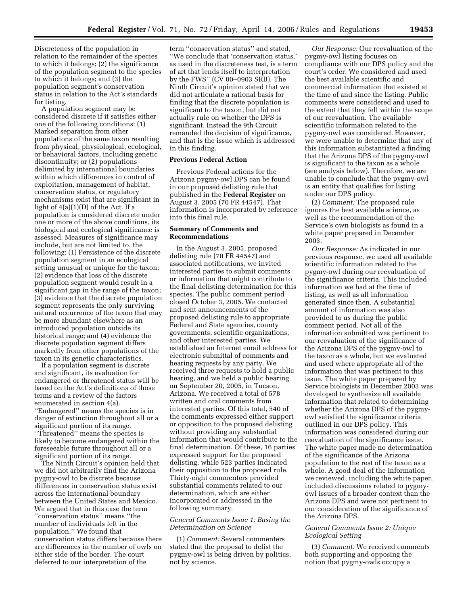Discreteness of the population in relation to the remainder of the species to which it belongs; (2) the significance of the population segment to the species to which it belongs; and (3) the population segment's conservation status in relation to the Act's standards for listing.

A population segment may be considered discrete if it satisfies either one of the following conditions: (1) Marked separation from other populations of the same taxon resulting from physical, physiological, ecological, or behavioral factors, including genetic discontinuity; or (2) populations delimited by international boundaries within which differences in control of exploitation, management of habitat, conservation status, or regulatory mechanisms exist that are significant in light of 4(a)(1)(D) of the Act. If a population is considered discrete under one or more of the above conditions, its biological and ecological significance is assessed. Measures of significance may include, but are not limited to, the following: (1) Persistence of the discrete population segment in an ecological setting unusual or unique for the taxon; (2) evidence that loss of the discrete population segment would result in a significant gap in the range of the taxon; (3) evidence that the discrete population segment represents the only surviving natural occurrence of the taxon that may be more abundant elsewhere as an introduced population outside its historical range; and (4) evidence the discrete population segment differs markedly from other populations of the taxon in its genetic characteristics.

If a population segment is discrete and significant, its evaluation for endangered or threatened status will be based on the Act's definitions of those terms and a review of the factors enumerated in section 4(a). ''Endangered'' means the species is in danger of extinction throughout all or a significant portion of its range. ''Threatened'' means the species is likely to become endangered within the foreseeable future throughout all or a significant portion of its range.

The Ninth Circuit's opinion held that we did not arbitrarily find the Arizona pygmy-owl to be discrete because differences in conservation status exist across the international boundary between the United States and Mexico. We argued that in this case the term ''conservation status'' means ''the number of individuals left in the population.'' We found that conservation status differs because there are differences in the number of owls on either side of the border. The court deferred to our interpretation of the

term ''conservation status'' and stated, ''We conclude that 'conservation status,' as used in the discreteness test, is a term of art that lends itself to interpretation by the FWS'' (CV 00–0903 SRB). The Ninth Circuit's opinion stated that we did not articulate a rational basis for finding that the discrete population is significant to the taxon, but did not actually rule on whether the DPS is significant. Instead the 9th Circuit remanded the decision of significance, and that is the issue which is addressed in this finding.

## **Previous Federal Action**

Previous Federal actions for the Arizona pygmy-owl DPS can be found in our proposed delisting rule that published in the **Federal Register** on August 3, 2005 (70 FR 44547). That information is incorporated by reference into this final rule.

## **Summary of Comments and Recommendations**

In the August 3, 2005, proposed delisting rule (70 FR 44547) and associated notifications, we invited interested parties to submit comments or information that might contribute to the final delisting determination for this species. The public comment period closed October 3, 2005. We contacted and sent announcements of the proposed delisting rule to appropriate Federal and State agencies, county governments, scientific organizations, and other interested parties. We established an Internet email address for electronic submittal of comments and hearing requests by any party. We received three requests to hold a public hearing, and we held a public hearing on September 20, 2005, in Tucson, Arizona. We received a total of 578 written and oral comments from interested parties. Of this total, 540 of the comments expressed either support or opposition to the proposed delisting without providing any substantial information that would contribute to the final determination. Of these, 16 parties expressed support for the proposed delisting, while 523 parties indicated their opposition to the proposed rule. Thirty-eight commenters provided substantial comments related to our determination, which are either incorporated or addressed in the following summary.

## *General Comments Issue 1: Basing the Determination on Science*

(1) *Comment:* Several commenters stated that the proposal to delist the pygmy-owl is being driven by politics, not by science.

*Our Response:* Our reevaluation of the pygmy-owl listing focuses on compliance with our DPS policy and the court's order. We considered and used the best available scientific and commercial information that existed at the time of and since the listing. Public comments were considered and used to the extent that they fell within the scope of our reevaluation. The available scientific information related to the pygmy-owl was considered. However, we were unable to determine that any of this information substantiated a finding that the Arizona DPS of the pygmy-owl is significant to the taxon as a whole (see analysis below). Therefore, we are unable to conclude that the pygmy-owl is an entity that qualifies for listing under our DPS policy.

(2) *Comment:* The proposed rule ignores the best available science, as well as the recommendation of the Service's own biologists as found in a white paper prepared in December 2003.

*Our Response:* As indicated in our previous response, we used all available scientific information related to the pygmy-owl during our reevaluation of the significance criteria. This included information we had at the time of listing, as well as all information generated since then. A substantial amount of information was also provided to us during the public comment period. Not all of the information submitted was pertinent to our reevaluation of the significance of the Arizona DPS of the pygmy-owl to the taxon as a whole, but we evaluated and used where appropriate all of the information that was pertinent to this issue. The white paper prepared by Service biologists in December 2003 was developed to synthesize all available information that related to determining whether the Arizona DPS of the pygmyowl satisfied the significance criteria outlined in our DPS policy. This information was considered during our reevaluation of the significance issue. The white paper made no determination of the significance of the Arizona population to the rest of the taxon as a whole. A good deal of the information we reviewed, including the white paper, included discussions related to pygmyowl issues of a broader context than the Arizona DPS and were not pertinent to our consideration of the significance of the Arizona DPS.

## *General Comments Issue 2: Unique Ecological Setting*

(3) *Comment:* We received comments both supporting and opposing the notion that pygmy-owls occupy a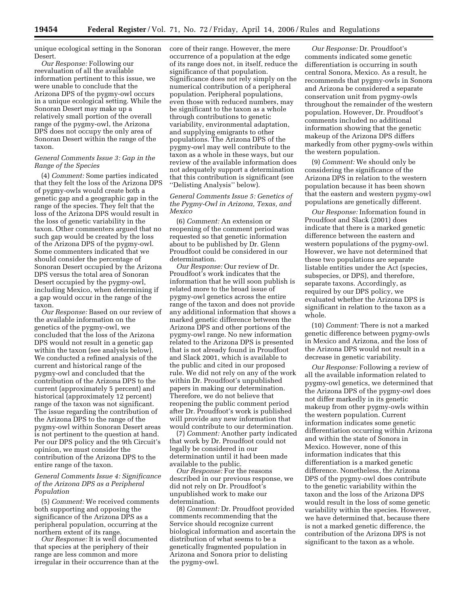unique ecological setting in the Sonoran Desert.

*Our Response:* Following our reevaluation of all the available information pertinent to this issue, we were unable to conclude that the Arizona DPS of the pygmy-owl occurs in a unique ecological setting. While the Sonoran Desert may make up a relatively small portion of the overall range of the pygmy-owl, the Arizona DPS does not occupy the only area of Sonoran Desert within the range of the taxon.

## *General Comments Issue 3: Gap in the Range of the Species*

(4) *Comment:* Some parties indicated that they felt the loss of the Arizona DPS of pygmy-owls would create both a genetic gap and a geographic gap in the range of the species. They felt that the loss of the Arizona DPS would result in the loss of genetic variability in the taxon. Other commenters argued that no such gap would be created by the loss of the Arizona DPS of the pygmy-owl. Some commenters indicated that we should consider the percentage of Sonoran Desert occupied by the Arizona DPS versus the total area of Sonoran Desert occupied by the pygmy-owl, including Mexico, when determining if a gap would occur in the range of the taxon.

*Our Response:* Based on our review of the available information on the genetics of the pygmy-owl, we concluded that the loss of the Arizona DPS would not result in a genetic gap within the taxon (see analysis below). We conducted a refined analysis of the current and historical range of the pygmy-owl and concluded that the contribution of the Arizona DPS to the current (approximately 5 percent) and historical (approximately 12 percent) range of the taxon was not significant. The issue regarding the contribution of the Arizona DPS to the range of the pygmy-owl within Sonoran Desert areas is not pertinent to the question at hand. Per our DPS policy and the 9th Circuit's opinion, we must consider the contribution of the Arizona DPS to the entire range of the taxon.

*General Comments Issue 4: Significance of the Arizona DPS as a Peripheral Population* 

(5) *Comment:* We received comments both supporting and opposing the significance of the Arizona DPS as a peripheral population, occurring at the northern extent of its range.

*Our Response:* It is well documented that species at the periphery of their range are less common and more irregular in their occurrence than at the core of their range. However, the mere occurrence of a population at the edge of its range does not, in itself, reduce the significance of that population. Significance does not rely simply on the numerical contribution of a peripheral population. Peripheral populations, even those with reduced numbers, may be significant to the taxon as a whole through contributions to genetic variability, environmental adaptation, and supplying emigrants to other populations. The Arizona DPS of the pygmy-owl may well contribute to the taxon as a whole in these ways, but our review of the available information does not adequately support a determination that this contribution is significant (see ''Delisting Analysis'' below).

## *General Comments Issue 5: Genetics of the Pygmy-Owl in Arizona, Texas, and Mexico*

(6) *Comment:* An extension or reopening of the comment period was requested so that genetic information about to be published by Dr. Glenn Proudfoot could be considered in our determination.

*Our Response:* Our review of Dr. Proudfoot's work indicates that the information that he will soon publish is related more to the broad issue of pygmy-owl genetics across the entire range of the taxon and does not provide any additional information that shows a marked genetic difference between the Arizona DPS and other portions of the pygmy-owl range. No new information related to the Arizona DPS is presented that is not already found in Proudfoot and Slack 2001, which is available to the public and cited in our proposed rule. We did not rely on any of the work within Dr. Proudfoot's unpublished papers in making our determination. Therefore, we do not believe that reopening the public comment period after Dr. Proudfoot's work is published will provide any new information that would contribute to our determination.

(7) *Comment:* Another party indicated that work by Dr. Proudfoot could not legally be considered in our determination until it had been made available to the public.

*Our Response:* For the reasons described in our previous response, we did not rely on Dr. Proudfoot's unpublished work to make our determination.

(8) *Comment:* Dr. Proudfoot provided comments recommending that the Service should recognize current biological information and ascertain the distribution of what seems to be a genetically fragmented population in Arizona and Sonora prior to delisting the pygmy-owl.

*Our Response:* Dr. Proudfoot's comments indicated some genetic differentiation is occurring in south central Sonora, Mexico. As a result, he recommends that pygmy-owls in Sonora and Arizona be considered a separate conservation unit from pygmy-owls throughout the remainder of the western population. However, Dr. Proudfoot's comments included no additional information showing that the genetic makeup of the Arizona DPS differs markedly from other pygmy-owls within the western population.

(9) *Comment:* We should only be considering the significance of the Arizona DPS in relation to the western population because it has been shown that the eastern and western pygmy-owl populations are genetically different.

*Our Response:* Information found in Proudfoot and Slack (2001) does indicate that there is a marked genetic difference between the eastern and western populations of the pygmy-owl. However, we have not determined that these two populations are separate listable entities under the Act (species, subspecies, or DPS), and therefore, separate taxons. Accordingly, as required by our DPS policy, we evaluated whether the Arizona DPS is significant in relation to the taxon as a whole.

(10) *Comment:* There is not a marked genetic difference between pygmy-owls in Mexico and Arizona, and the loss of the Arizona DPS would not result in a decrease in genetic variability.

*Our Response:* Following a review of all the available information related to pygmy-owl genetics, we determined that the Arizona DPS of the pygmy-owl does not differ markedly in its genetic makeup from other pygmy-owls within the western population. Current information indicates some genetic differentiation occurring within Arizona and within the state of Sonora in Mexico. However, none of this information indicates that this differentiation is a marked genetic difference. Nonetheless, the Arizona DPS of the pygmy-owl does contribute to the genetic variability within the taxon and the loss of the Arizona DPS would result in the loss of some genetic variability within the species. However, we have determined that, because there is not a marked genetic difference, the contribution of the Arizona DPS is not significant to the taxon as a whole.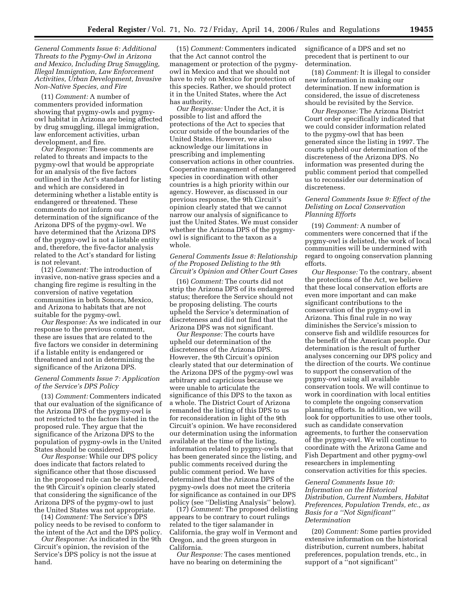*General Comments Issue 6: Additional Threats to the Pygmy-Owl in Arizona and Mexico, Including Drug Smuggling, Illegal Immigration, Law Enforcement Activities, Urban Development, Invasive Non-Native Species, and Fire* 

(11) *Comment:* A number of commenters provided information showing that pygmy-owls and pygmyowl habitat in Arizona are being affected by drug smuggling, illegal immigration, law enforcement activities, urban development, and fire.

*Our Response:* These comments are related to threats and impacts to the pygmy-owl that would be appropriate for an analysis of the five factors outlined in the Act's standard for listing and which are considered in determining whether a listable entity is endangered or threatened. These comments do not inform our determination of the significance of the Arizona DPS of the pygmy-owl. We have determined that the Arizona DPS of the pygmy-owl is not a listable entity and, therefore, the five-factor analysis related to the Act's standard for listing is not relevant.

(12) *Comment:* The introduction of invasive, non-native grass species and a changing fire regime is resulting in the conversion of native vegetation communities in both Sonora, Mexico, and Arizona to habitats that are not suitable for the pygmy-owl.

*Our Response:* As we indicated in our response to the previous comment, these are issues that are related to the five factors we consider in determining if a listable entity is endangered or threatened and not in determining the significance of the Arizona DPS.

## *General Comments Issue 7: Application of the Service's DPS Policy*

(13) *Comment:* Commenters indicated that our evaluation of the significance of the Arizona DPS of the pygmy-owl is not restricted to the factors listed in the proposed rule. They argue that the significance of the Arizona DPS to the population of pygmy-owls in the United States should be considered.

*Our Response:* While our DPS policy does indicate that factors related to significance other that those discussed in the proposed rule can be considered, the 9th Circuit's opinion clearly stated that considering the significance of the Arizona DPS of the pygmy-owl to just the United States was not appropriate.

(14) *Comment:* The Service's DPS policy needs to be revised to conform to the intent of the Act and the DPS policy.

*Our Response:* As indicated in the 9th Circuit's opinion, the revision of the Service's DPS policy is not the issue at hand.

(15) *Comment:* Commenters indicated that the Act cannot control the management or protection of the pygmyowl in Mexico and that we should not have to rely on Mexico for protection of this species. Rather, we should protect it in the United States, where the Act has authority.

*Our Response:* Under the Act, it is possible to list and afford the protections of the Act to species that occur outside of the boundaries of the United States. However, we also acknowledge our limitations in prescribing and implementing conservation actions in other countries. Cooperative management of endangered species in coordination with other countries is a high priority within our agency. However, as discussed in our previous response, the 9th Circuit's opinion clearly stated that we cannot narrow our analysis of significance to just the United States. We must consider whether the Arizona DPS of the pygmyowl is significant to the taxon as a whole.

## *General Comments Issue 8: Relationship of the Proposed Delisting to the 9th Circuit's Opinion and Other Court Cases*

(16) *Comment:* The courts did not strip the Arizona DPS of its endangered status; therefore the Service should not be proposing delisting. The courts upheld the Service's determination of discreteness and did not find that the Arizona DPS was not significant.

*Our Response:* The courts have upheld our determination of the discreteness of the Arizona DPS. However, the 9th Circuit's opinion clearly stated that our determination of the Arizona DPS of the pygmy-owl was arbitrary and capricious because we were unable to articulate the significance of this DPS to the taxon as a whole. The District Court of Arizona remanded the listing of this DPS to us for reconsideration in light of the 9th Circuit's opinion. We have reconsidered our determination using the information available at the time of the listing, information related to pygmy-owls that has been generated since the listing, and public comments received during the public comment period. We have determined that the Arizona DPS of the pygmy-owls does not meet the criteria for significance as contained in our DPS policy (see ''Delisting Analysis'' below).

(17) *Comment:* The proposed delisting appears to be contrary to court rulings related to the tiger salamander in California, the gray wolf in Vermont and Oregon, and the green sturgeon in California.

*Our Response:* The cases mentioned have no bearing on determining the

significance of a DPS and set no precedent that is pertinent to our determination.

(18) *Comment:* It is illegal to consider new information in making our determination. If new information is considered, the issue of discreteness should be revisited by the Service.

*Our Response:* The Arizona District Court order specifically indicated that we could consider information related to the pygmy-owl that has been generated since the listing in 1997. The courts upheld our determination of the discreteness of the Arizona DPS. No information was presented during the public comment period that compelled us to reconsider our determination of discreteness.

## *General Comments Issue 9: Effect of the Delisting on Local Conservation Planning Efforts*

(19) *Comment:* A number of commenters were concerned that if the pygmy-owl is delisted, the work of local communities will be undermined with regard to ongoing conservation planning efforts.

*Our Response:* To the contrary, absent the protections of the Act, we believe that these local conservation efforts are even more important and can make significant contributions to the conservation of the pygmy-owl in Arizona. This final rule in no way diminishes the Service's mission to conserve fish and wildlife resources for the benefit of the American people. Our determination is the result of further analyses concerning our DPS policy and the direction of the courts. We continue to support the conservation of the pygmy-owl using all available conservation tools. We will continue to work in coordination with local entities to complete the ongoing conservation planning efforts. In addition, we will look for opportunities to use other tools, such as candidate conservation agreements, to further the conservation of the pygmy-owl. We will continue to coordinate with the Arizona Game and Fish Department and other pygmy-owl researchers in implementing conservation activities for this species.

## *General Comments Issue 10:*

*Information on the Historical Distribution, Current Numbers, Habitat Preferences, Population Trends, etc., as Basis for a ''Not Significant'' Determination* 

(20) *Comment:* Some parties provided extensive information on the historical distribution, current numbers, habitat preferences, population trends, etc., in support of a ''not significant''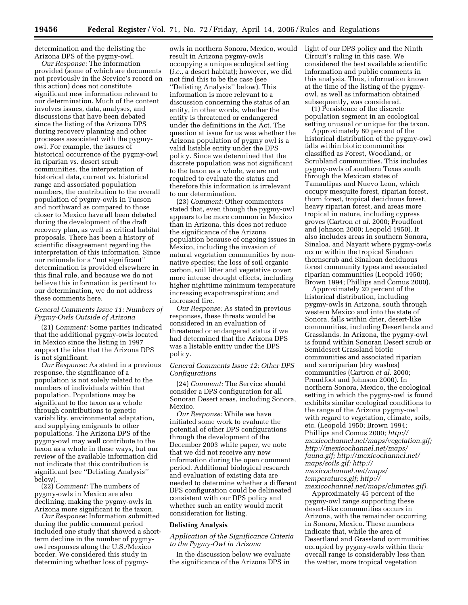determination and the delisting the Arizona DPS of the pygmy-owl.

*Our Response:* The information provided (some of which are documents not previously in the Service's record on this action) does not constitute significant new information relevant to our determination. Much of the content involves issues, data, analyses, and discussions that have been debated since the listing of the Arizona DPS during recovery planning and other processes associated with the pygmyowl. For example, the issues of historical occurrence of the pygmy-owl in riparian vs. desert scrub communities, the interpretation of historical data, current vs. historical range and associated population numbers, the contribution to the overall population of pygmy-owls in Tucson and northward as compared to those closer to Mexico have all been debated during the development of the draft recovery plan, as well as critical habitat proposals. There has been a history of scientific disagreement regarding the interpretation of this information. Since our rationale for a ''not significant'' determination is provided elsewhere in this final rule, and because we do not believe this information is pertinent to our determination, we do not address these comments here.

# *General Comments Issue 11: Numbers of Pygmy-Owls Outside of Arizona*

(21) *Comment:* Some parties indicated that the additional pygmy-owls located in Mexico since the listing in 1997 support the idea that the Arizona DPS is not significant.

*Our Response:* As stated in a previous response, the significance of a population is not solely related to the numbers of individuals within that population. Populations may be significant to the taxon as a whole through contributions to genetic variability, environmental adaptation, and supplying emigrants to other populations. The Arizona DPS of the pygmy-owl may well contribute to the taxon as a whole in these ways, but our review of the available information did not indicate that this contribution is significant (see ''Delisting Analysis'' below).

(22) *Comment:* The numbers of pygmy-owls in Mexico are also declining, making the pygmy-owls in Arizona more significant to the taxon.

*Our Response:* Information submitted during the public comment period included one study that showed a shortterm decline in the number of pygmyowl responses along the U.S./Mexico border. We considered this study in determining whether loss of pygmy-

owls in northern Sonora, Mexico, would result in Arizona pygmy-owls occupying a unique ecological setting (*i.e.,* a desert habitat); however, we did not find this to be the case (see ''Delisting Analysis'' below). This information is more relevant to a discussion concerning the status of an entity, in other words, whether the entity is threatened or endangered under the definitions in the Act. The question at issue for us was whether the Arizona population of pygmy owl is a valid listable entity under the DPS policy. Since we determined that the discrete population was not significant to the taxon as a whole, we are not required to evaluate the status and therefore this information is irrelevant to our determination.

(23) *Comment:* Other commenters stated that, even though the pygmy-owl appears to be more common in Mexico than in Arizona, this does not reduce the significance of the Arizona population because of ongoing issues in Mexico, including the invasion of natural vegetation communities by nonnative species; the loss of soil organic carbon, soil litter and vegetative cover; more intense drought effects, including higher nighttime minimum temperature increasing evapotranspiration; and increased fire.

*Our Response:* As stated in previous responses, these threats would be considered in an evaluation of threatened or endangered status if we had determined that the Arizona DPS was a listable entity under the DPS policy.

### *General Comments Issue 12: Other DPS Configurations*

(24) *Comment:* The Service should consider a DPS configuration for all Sonoran Desert areas, including Sonora, Mexico.

*Our Response:* While we have initiated some work to evaluate the potential of other DPS configurations through the development of the December 2003 white paper, we note that we did not receive any new information during the open comment period. Additional biological research and evaluation of existing data are needed to determine whether a different DPS configuration could be delineated consistent with our DPS policy and whether such an entity would merit consideration for listing.

### **Delisting Analysis**

## *Application of the Significance Criteria to the Pygmy-Owl in Arizona*

In the discussion below we evaluate the significance of the Arizona DPS in

light of our DPS policy and the Ninth Circuit's ruling in this case. We considered the best available scientific information and public comments in this analysis. Thus, information known at the time of the listing of the pygmyowl, as well as information obtained subsequently, was considered.

(1) Persistence of the discrete population segment in an ecological setting unusual or unique for the taxon.

Approximately 80 percent of the historical distribution of the pygmy-owl falls within biotic communities classified as Forest, Woodland, or Scrubland communities. This includes pygmy-owls of southern Texas south through the Mexican states of Tamaulipas and Nuevo Leon, which occupy mesquite forest, riparian forest, thorn forest, tropical deciduous forest, heavy riparian forest, and areas more tropical in nature, including cypress groves (Cartron *et al.* 2000; Proudfoot and Johnson 2000; Leopold 1950). It also includes areas in southern Sonora, Sinaloa, and Nayarit where pygmy-owls occur within the tropical Sinaloan thornscrub and Sinaloan deciduous forest community types and associated riparian communities (Leopold 1950; Brown 1994; Phillips and Comus 2000).

Approximately 20 percent of the historical distribution, including pygmy-owls in Arizona, south through western Mexico and into the state of Sonora, falls within drier, desert-like communities, including Desertlands and Grasslands. In Arizona, the pygmy-owl is found within Sonoran Desert scrub or Semidesert Grassland biotic communities and associated riparian and xeroriparian (dry washes) communities (Cartron *et al.* 2000; Proudfoot and Johnson 2000). In northern Sonora, Mexico, the ecological setting in which the pygmy-owl is found exhibits similar ecological conditions to the range of the Arizona pygmy-owl with regard to vegetation, climate, soils, etc. (Leopold 1950; Brown 1994; Phillips and Comus 2000; *http:// mexicochannel.net/maps/vegetation.gif; http://mexicochannel.net/maps/ fauna.gif; http://mexicochannel.net/ maps/soils.gif; http:// mexicochannel.net/maps/ temperatures.gif; http:// mexicochannel.net/maps/climates.gif).* 

Approximately 45 percent of the pygmy-owl range supporting these desert-like communities occurs in Arizona, with the remainder occurring in Sonora, Mexico. These numbers indicate that, while the area of Desertland and Grassland communities occupied by pygmy-owls within their overall range is considerably less than the wetter, more tropical vegetation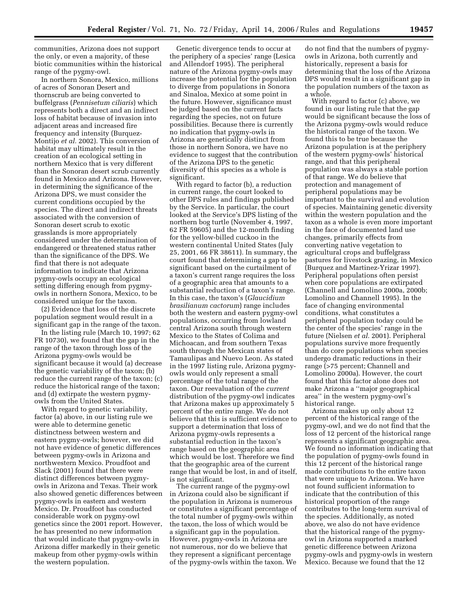communities, Arizona does not support the only, or even a majority, of these biotic communities within the historical range of the pygmy-owl.

In northern Sonora, Mexico, millions of acres of Sonoran Desert and thornscrub are being converted to buffelgrass (*Pennisetum ciliaris*) which represents both a direct and an indirect loss of habitat because of invasion into adjacent areas and increased fire frequency and intensity (Burquez-Montijo *et al.* 2002). This conversion of habitat may ultimately result in the creation of an ecological setting in northern Mexico that is very different than the Sonoran desert scrub currently found in Mexico and Arizona. However, in determining the significance of the Arizona DPS, we must consider the current conditions occupied by the species. The direct and indirect threats associated with the conversion of Sonoran desert scrub to exotic grasslands is more appropriately considered under the determination of endangered or threatened status rather than the significance of the DPS. We find that there is not adequate information to indicate that Arizona pygmy-owls occupy an ecological setting differing enough from pygmyowls in northern Sonora, Mexico, to be considered unique for the taxon.

(2) Evidence that loss of the discrete population segment would result in a significant gap in the range of the taxon.

In the listing rule (March 10, 1997; 62 FR 10730), we found that the gap in the range of the taxon through loss of the Arizona pygmy-owls would be significant because it would (a) decrease the genetic variability of the taxon; (b) reduce the current range of the taxon; (c) reduce the historical range of the taxon; and (d) extirpate the western pygmyowls from the United States.

With regard to genetic variability, factor (a) above, in our listing rule we were able to determine genetic distinctness between western and eastern pygmy-owls; however, we did not have evidence of genetic differences between pygmy-owls in Arizona and northwestern Mexico. Proudfoot and Slack (2001) found that there were distinct differences between pygmyowls in Arizona and Texas. Their work also showed genetic differences between pygmy-owls in eastern and western Mexico. Dr. Proudfoot has conducted considerable work on pygmy-owl genetics since the 2001 report. However, he has presented no new information that would indicate that pygmy-owls in Arizona differ markedly in their genetic makeup from other pygmy-owls within the western population.

Genetic divergence tends to occur at the periphery of a species' range (Lesica and Allendorf 1995). The peripheral nature of the Arizona pygmy-owls may increase the potential for the population to diverge from populations in Sonora and Sinaloa, Mexico at some point in the future. However, significance must be judged based on the current facts regarding the species, not on future possibilities. Because there is currently no indication that pygmy-owls in Arizona are genetically distinct from those in northern Sonora, we have no evidence to suggest that the contribution of the Arizona DPS to the genetic diversity of this species as a whole is significant.

With regard to factor (b), a reduction in current range, the court looked to other DPS rules and findings published by the Service. In particular, the court looked at the Service's DPS listing of the northern bog turtle (November 4, 1997, 62 FR 59605) and the 12-month finding for the yellow-billed cuckoo in the western continental United States (July 25, 2001, 66 FR 38611). In summary, the court found that determining a gap to be significant based on the curtailment of a taxon's current range requires the loss of a geographic area that amounts to a substantial reduction of a taxon's range. In this case, the taxon's (*Glaucidium brasilianum cactorum*) range includes both the western and eastern pygmy-owl populations, occurring from lowland central Arizona south through western Mexico to the States of Colima and Michoacan, and from southern Texas south through the Mexican states of Tamaulipas and Nuevo Leon. As stated in the 1997 listing rule, Arizona pygmyowls would only represent a small percentage of the total range of the taxon. Our reevaluation of the *current*  distribution of the pygmy-owl indicates that Arizona makes up approximately 5 percent of the entire range. We do not believe that this is sufficient evidence to support a determination that loss of Arizona pygmy-owls represents a substantial reduction in the taxon's range based on the geographic area which would be lost. Therefore we find that the geographic area of the current range that would be lost, in and of itself, is not significant.

The current range of the pygmy-owl in Arizona could also be significant if the population in Arizona is numerous or constitutes a significant percentage of the total number of pygmy-owls within the taxon, the loss of which would be a significant gap in the population. However, pygmy-owls in Arizona are not numerous, nor do we believe that they represent a significant percentage of the pygmy-owls within the taxon. We

do not find that the numbers of pygmyowls in Arizona, both currently and historically, represent a basis for determining that the loss of the Arizona DPS would result in a significant gap in the population numbers of the taxon as a whole.

With regard to factor (c) above, we found in our listing rule that the gap would be significant because the loss of the Arizona pygmy-owls would reduce the historical range of the taxon. We found this to be true because the Arizona population is at the periphery of the western pygmy-owls' historical range, and that this peripheral population was always a stable portion of that range. We do believe that protection and management of peripheral populations may be important to the survival and evolution of species. Maintaining genetic diversity within the western population and the taxon as a whole is even more important in the face of documented land use changes, primarily effects from converting native vegetation to agricultural crops and buffelgrass pastures for livestock grazing, in Mexico (Burquez and Martinez-Yrizar 1997). Peripheral populations often persist when core populations are extirpated (Channell and Lomolino 2000a, 2000b; Lomolino and Channell 1995). In the face of changing environmental conditions, what constitutes a peripheral population today could be the center of the species' range in the future (Nielsen *et al.* 2001). Peripheral populations survive more frequently than do core populations when species undergo dramatic reductions in their range (>75 percent; Channell and Lomolino 2000a). However, the court found that this factor alone does not make Arizona a ''major geographical area'' in the western pygmy-owl's historical range.

Arizona makes up only about 12 percent of the historical range of the pygmy-owl, and we do not find that the loss of 12 percent of the historical range represents a significant geographic area. We found no information indicating that the population of pygmy-owls found in this 12 percent of the historical range made contributions to the entire taxon that were unique to Arizona. We have not found sufficient information to indicate that the contribution of this historical proportion of the range contributes to the long-term survival of the species. Additionally, as noted above, we also do not have evidence that the historical range of the pygmyowl in Arizona supported a marked genetic difference between Arizona pygmy-owls and pygmy-owls in western Mexico. Because we found that the 12